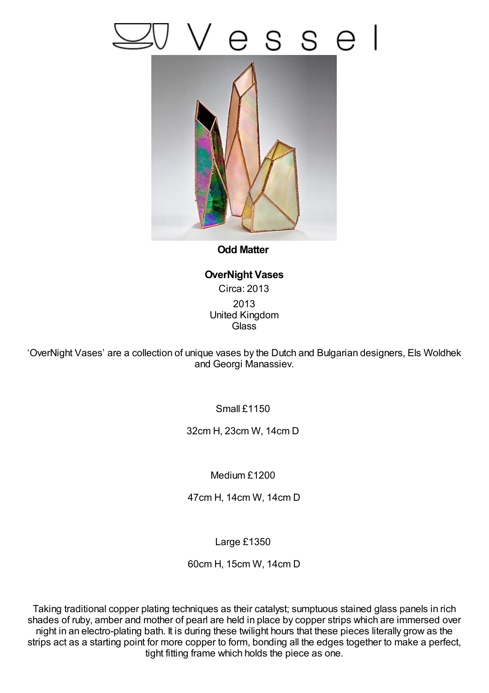## esse



**Odd Matter**

**OverNight Vases** Circa: 2013 2013 United Kingdom **Glass** 

'OverNight Vases' are a collection of unique vases by the Dutch and Bulgarian designers, Els Woldhek and Georgi Manassiev.

Small £1150

32cm H, 23cm W, 14cm D

Medium £1200

47cm H, 14cm W, 14cm D

Large £1350

60cm H, 15cm W, 14cm D

Taking traditional copper plating techniques as their catalyst; sumptuous stained glass panels in rich shades of ruby, amber and mother of pearl are held in place by copper strips which are immersed over night in an electro-plating bath. It is during these twilight hours that these pieces literally grow as the strips act as a starting point for more copper to form, bonding all the edges together to make a perfect, tight fitting frame which holds the piece as one.